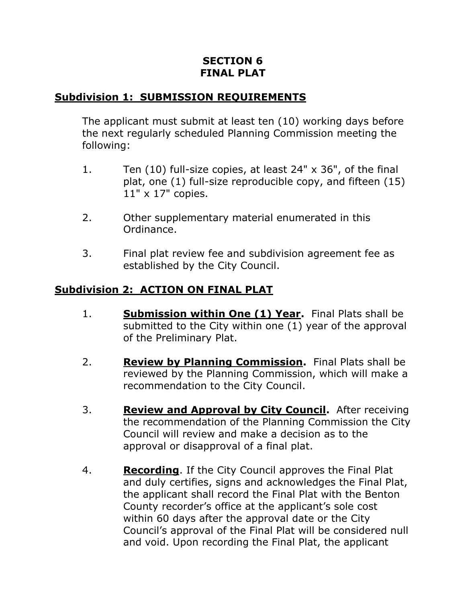## **SECTION 6 FINAL PLAT**

## **Subdivision 1: SUBMISSION REQUIREMENTS**

The applicant must submit at least ten (10) working days before the next regularly scheduled Planning Commission meeting the following:

- 1. Ten (10) full-size copies, at least 24" x 36", of the final plat, one (1) full-size reproducible copy, and fifteen (15) 11" x 17" copies.
- 2. Other supplementary material enumerated in this Ordinance.
- 3. Final plat review fee and subdivision agreement fee as established by the City Council.

## **Subdivision 2: ACTION ON FINAL PLAT**

- 1. **Submission within One (1) Year.** Final Plats shall be submitted to the City within one (1) year of the approval of the Preliminary Plat.
- 2. **Review by Planning Commission.** Final Plats shall be reviewed by the Planning Commission, which will make a recommendation to the City Council.
- 3. **Review and Approval by City Council.** After receiving the recommendation of the Planning Commission the City Council will review and make a decision as to the approval or disapproval of a final plat.
- 4. **Recording**. If the City Council approves the Final Plat and duly certifies, signs and acknowledges the Final Plat, the applicant shall record the Final Plat with the Benton County recorder's office at the applicant's sole cost within 60 days after the approval date or the City Council's approval of the Final Plat will be considered null and void. Upon recording the Final Plat, the applicant